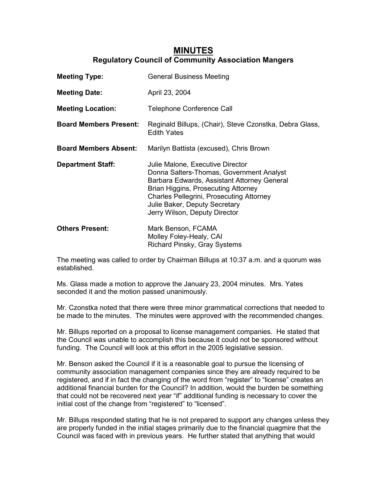## **MINUTES Regulatory Council of Community Association Mangers**

| <b>Meeting Type:</b>          | <b>General Business Meeting</b>                                                                                                                                                                                                                                                         |
|-------------------------------|-----------------------------------------------------------------------------------------------------------------------------------------------------------------------------------------------------------------------------------------------------------------------------------------|
| <b>Meeting Date:</b>          | April 23, 2004                                                                                                                                                                                                                                                                          |
| <b>Meeting Location:</b>      | <b>Telephone Conference Call</b>                                                                                                                                                                                                                                                        |
| <b>Board Members Present:</b> | Reginald Billups, (Chair), Steve Czonstka, Debra Glass,<br><b>Edith Yates</b>                                                                                                                                                                                                           |
| <b>Board Members Absent:</b>  | Marilyn Battista (excused), Chris Brown                                                                                                                                                                                                                                                 |
| <b>Department Staff:</b>      | Julie Malone, Executive Director<br>Donna Salters-Thomas, Government Analyst<br>Barbara Edwards, Assistant Attorney General<br>Brian Higgins, Prosecuting Attorney<br><b>Charles Pellegrini, Prosecuting Attorney</b><br>Julie Baker, Deputy Secretary<br>Jerry Wilson, Deputy Director |
| <b>Others Present:</b>        | Mark Benson, FCAMA<br>Molley Foley-Healy, CAI<br>Richard Pinsky, Gray Systems                                                                                                                                                                                                           |

The meeting was called to order by Chairman Billups at 10:37 a.m. and a quorum was established.

Ms. Glass made a motion to approve the January 23, 2004 minutes. Mrs. Yates seconded it and the motion passed unanimously.

Mr. Czonstka noted that there were three minor grammatical corrections that needed to be made to the minutes. The minutes were approved with the recommended changes.

Mr. Billups reported on a proposal to license management companies. He stated that the Council was unable to accomplish this because it could not be sponsored without funding. The Council will look at this effort in the 2005 legislative session.

Mr. Benson asked the Council if it is a reasonable goal to pursue the licensing of community association management companies since they are already required to be registered, and if in fact the changing of the word from "register" to "license" creates an additional financial burden for the Council? In addition, would the burden be something that could not be recovered next year "if" additional funding is necessary to cover the initial cost of the change from "registered" to "licensed".

Mr. Billups responded stating that he is not prepared to support any changes unless they are properly funded in the initial stages primarily due to the financial quagmire that the Council was faced with in previous years. He further stated that anything that would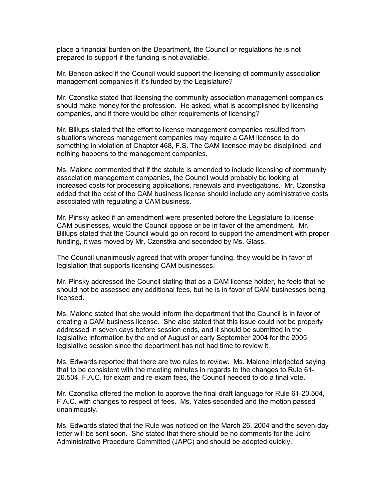place a financial burden on the Department, the Council or regulations he is not prepared to support if the funding is not available.

Mr. Benson asked if the Council would support the licensing of community association management companies if it's funded by the Legislature?

Mr. Czonstka stated that licensing the community association management companies should make money for the profession. He asked, what is accomplished by licensing companies, and if there would be other requirements of licensing?

Mr. Billups stated that the effort to license management companies resulted from situations whereas management companies may require a CAM licensee to do something in violation of Chapter 468, F.S. The CAM licensee may be disciplined, and nothing happens to the management companies.

Ms. Malone commented that if the statute is amended to include licensing of community association management companies, the Council would probably be looking at increased costs for processing applications, renewals and investigations. Mr. Czonstka added that the cost of the CAM business license should include any administrative costs associated with regulating a CAM business.

Mr. Pinsky asked if an amendment were presented before the Legislature to license CAM businesses, would the Council oppose or be in favor of the amendment. Mr. Billups stated that the Council would go on record to support the amendment with proper funding, it was moved by Mr. Czonstka and seconded by Ms. Glass.

The Council unanimously agreed that with proper funding, they would be in favor of legislation that supports licensing CAM businesses.

Mr. Pinsky addressed the Council stating that as a CAM license holder, he feels that he should not be assessed any additional fees, but he is in favor of CAM businesses being licensed.

Ms. Malone stated that she would inform the department that the Council is in favor of creating a CAM business license. She also stated that this issue could not be properly addressed in seven days before session ends, and it should be submitted in the legislative information by the end of August or early September 2004 for the 2005 legislative session since the department has not had time to review it.

Ms. Edwards reported that there are two rules to review. Ms. Malone interjected saying that to be consistent with the meeting minutes in regards to the changes to Rule 61- 20.504, F.A.C. for exam and re-exam fees, the Council needed to do a final vote.

Mr. Czonstka offered the motion to approve the final draft language for Rule 61-20.504, F.A.C. with changes to respect of fees. Ms. Yates seconded and the motion passed unanimously.

Ms. Edwards stated that the Rule was noticed on the March 26, 2004 and the seven-day letter will be sent soon. She stated that there should be no comments for the Joint Administrative Procedure Committed (JAPC) and should be adopted quickly.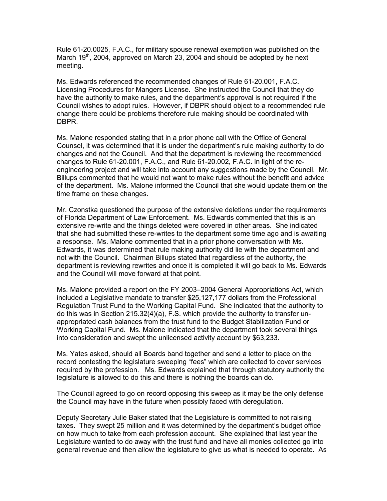Rule 61-20.0025, F.A.C., for military spouse renewal exemption was published on the March  $19<sup>th</sup>$ , 2004, approved on March 23, 2004 and should be adopted by he next meeting.

Ms. Edwards referenced the recommended changes of Rule 61-20.001, F.A.C. Licensing Procedures for Mangers License. She instructed the Council that they do have the authority to make rules, and the department's approval is not required if the Council wishes to adopt rules. However, if DBPR should object to a recommended rule change there could be problems therefore rule making should be coordinated with DBPR.

Ms. Malone responded stating that in a prior phone call with the Office of General Counsel, it was determined that it is under the department's rule making authority to do changes and not the Council. And that the department is reviewing the recommended changes to Rule 61-20.001, F.A.C., and Rule 61-20.002, F.A.C. in light of the reengineering project and will take into account any suggestions made by the Council. Mr. Billups commented that he would not want to make rules without the benefit and advice of the department. Ms. Malone informed the Council that she would update them on the time frame on these changes.

Mr. Czonstka questioned the purpose of the extensive deletions under the requirements of Florida Department of Law Enforcement. Ms. Edwards commented that this is an extensive re-write and the things deleted were covered in other areas. She indicated that she had submitted these re-writes to the department some time ago and is awaiting a response. Ms. Malone commented that in a prior phone conversation with Ms. Edwards, it was determined that rule making authority did lie with the department and not with the Council. Chairman Billups stated that regardless of the authority, the department is reviewing rewrites and once it is completed it will go back to Ms. Edwards and the Council will move forward at that point.

Ms. Malone provided a report on the FY 2003–2004 General Appropriations Act, which included a Legislative mandate to transfer \$25,127,177 dollars from the Professional Regulation Trust Fund to the Working Capital Fund. She indicated that the authority to do this was in Section 215.32(4)(a), F.S. which provide the authority to transfer unappropriated cash balances from the trust fund to the Budget Stabilization Fund or Working Capital Fund. Ms. Malone indicated that the department took several things into consideration and swept the unlicensed activity account by \$63,233.

Ms. Yates asked, should all Boards band together and send a letter to place on the record contesting the legislature sweeping "fees" which are collected to cover services required by the profession. Ms. Edwards explained that through statutory authority the legislature is allowed to do this and there is nothing the boards can do.

The Council agreed to go on record opposing this sweep as it may be the only defense the Council may have in the future when possibly faced with deregulation.

Deputy Secretary Julie Baker stated that the Legislature is committed to not raising taxes. They swept 25 million and it was determined by the department's budget office on how much to take from each profession account. She explained that last year the Legislature wanted to do away with the trust fund and have all monies collected go into general revenue and then allow the legislature to give us what is needed to operate. As